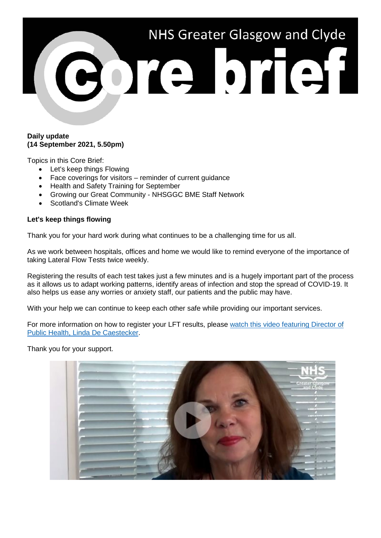

#### **Daily update (14 September 2021, 5.50pm)**

Topics in this Core Brief:

- Let's keep things Flowing
- Face coverings for visitors reminder of current guidance
- Health and Safety Training for September
- Growing our Great Community NHSGGC BME Staff Network
- Scotland's Climate Week

#### **Let's keep things flowing**

Thank you for your hard work during what continues to be a challenging time for us all.

As we work between hospitals, offices and home we would like to remind everyone of the importance of taking Lateral Flow Tests twice weekly.

Registering the results of each test takes just a few minutes and is a hugely important part of the process as it allows us to adapt working patterns, identify areas of infection and stop the spread of COVID-19. It also helps us ease any worries or anxiety staff, our patients and the public may have.

With your help we can continue to keep each other safe while providing our important services.

For more information on how to register your LFT results, please [watch this video featuring Director of](https://www.youtube.com/watch?v=AYnmPi5aUlU)  [Public Health, Linda De Caestecker.](https://www.youtube.com/watch?v=AYnmPi5aUlU)

Thank you for your support.

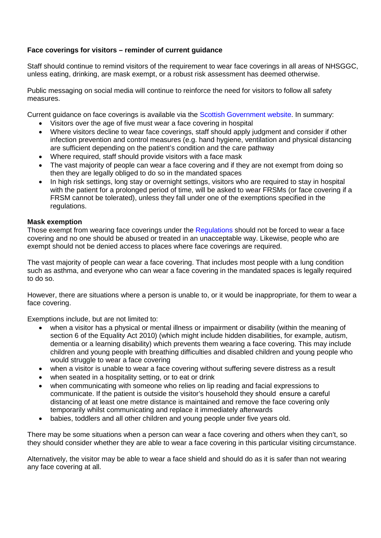# **Face coverings for visitors – reminder of current guidance**

Staff should continue to remind visitors of the requirement to wear face coverings in all areas of NHSGGC, unless eating, drinking, are mask exempt, or a robust risk assessment has deemed otherwise.

Public messaging on social media will continue to reinforce the need for visitors to follow all safety measures.

Current guidance on face coverings is available via the [Scottish Government website.](https://www.gov.scot/publications/coronavirus-covid-19-interim-guidance-on-the-extended-use-of-face-masks-in-hospitals-and-care-homes/pages/how-to-support-visitors/) In summary:

- Visitors over the age of five must wear a face covering in hospital
- Where visitors decline to wear face coverings, staff should apply judgment and consider if other infection prevention and control measures (e.g. hand hygiene, ventilation and physical distancing are sufficient depending on the patient's condition and the care pathway
- Where required, staff should provide visitors with a face mask
- The vast majority of people can wear a face covering and if they are not exempt from doing so then they are legally obliged to do so in the mandated spaces
- In high risk settings, long stay or overnight settings, visitors who are required to stay in hospital with the patient for a prolonged period of time, will be asked to wear FRSMs (or face covering if a FRSM cannot be tolerated), unless they fall under one of the exemptions specified in the regulations.

#### **Mask exemption**

Those exempt from wearing face coverings under the [Regulations](https://www.legislation.gov.uk/ssi/2020/344/schedule/7/made) should not be forced to wear a face covering and no one should be abused or treated in an unacceptable way. Likewise, people who are exempt should not be denied access to places where face coverings are required.

The vast majority of people can wear a face covering. That includes most people with a lung condition such as asthma, and everyone who can wear a face covering in the mandated spaces is legally required to do so.

However, there are situations where a person is unable to, or it would be inappropriate, for them to wear a face covering.

Exemptions include, but are not limited to:

- when a visitor has a physical or mental illness or impairment or disability (within the meaning of section 6 of the Equality Act 2010) (which might include hidden disabilities, for example, autism, dementia or a learning disability) which prevents them wearing a face covering. This may include children and young people with breathing difficulties and disabled children and young people who would struggle to wear a face covering
- when a visitor is unable to wear a face covering without suffering severe distress as a result
- when seated in a hospitality setting, or to eat or drink
- when communicating with someone who relies on lip reading and facial expressions to communicate. If the patient is outside the visitor's household they should  ensure a careful distancing of at least one metre distance is maintained and remove the face covering only temporarily whilst communicating and replace it immediately afterwards
- babies, toddlers and all other children and young people under five years old.

There may be some situations when a person can wear a face covering and others when they can't, so they should consider whether they are able to wear a face covering in this particular visiting circumstance.

Alternatively, the visitor may be able to wear a face shield and should do as it is safer than not wearing any face covering at all.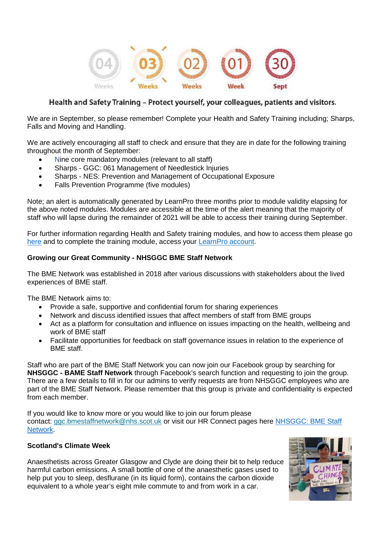

# Health and Safety Training - Protect yourself, your colleagues, patients and visitors.

We are in September, so please remember! Complete your Health and Safety Training including; Sharps, Falls and Moving and Handling.

We are actively encouraging all staff to check and ensure that they are in date for the following training throughout the month of September:

- Nine core mandatory modules (relevant to all staff)
- Sharps GGC: 061 Management of Needlestick Injuries
- Sharps NES: Prevention and Management of Occupational Exposure
- Falls Prevention Programme (five modules)

Note; an alert is automatically generated by LearnPro three months prior to module validity elapsing for the above noted modules. Modules are accessible at the time of the alert meaning that the majority of staff who will lapse during the remainder of 2021 will be able to access their training during September.

For further information regarding Health and Safety training modules, and how to access them please go [here](https://www.nhsggc.org.uk/working-with-us/hr-connect/health-safety/training-and-education/health-safety-training/) and to complete the training module, access your [LearnPro account.](http://nhs.learnprouk.com/)

### **Growing our Great Community - NHSGGC BME Staff Network**

The BME Network was established in 2018 after various discussions with stakeholders about the lived experiences of BME staff.

The BME Network aims to:

- Provide a safe, supportive and confidential forum for sharing experiences
- Network and discuss identified issues that affect members of staff from BME groups
- Act as a platform for consultation and influence on issues impacting on the health, wellbeing and work of BME staff
- Facilitate opportunities for feedback on staff governance issues in relation to the experience of BME staff.

Staff who are part of the BME Staff Network you can now join our Facebook group by searching for **NHSGGC - BAME Staff Network** through Facebook's search function and requesting to join the group. There are a few details to fill in for our admins to verify requests are from NHSGGC employees who are part of the BME Staff Network. Please remember that this group is private and confidentiality is expected from each member.

If you would like to know more or you would like to join our forum please contact: [ggc.bmestaffnetwork@nhs.scot.uk](mailto:ggc.bmestaffnetwork@nhs.scot.uk) or visit our HR Connect pages here NHSGGC: BME Staff [Network.](https://www.nhsggc.org.uk/working-with-us/hr-connect/growing-our-great-community-through-equality-diversity-and-inclusion/staff-forums-networks/bme-staff-network/)

## **Scotland's Climate Week**

Anaesthetists across Greater Glasgow and Clyde are doing their bit to help reduce harmful carbon emissions. A small bottle of one of the anaesthetic gases used to help put you to sleep, desflurane (in its liquid form), contains the carbon dioxide equivalent to a whole year's eight mile commute to and from work in a car.